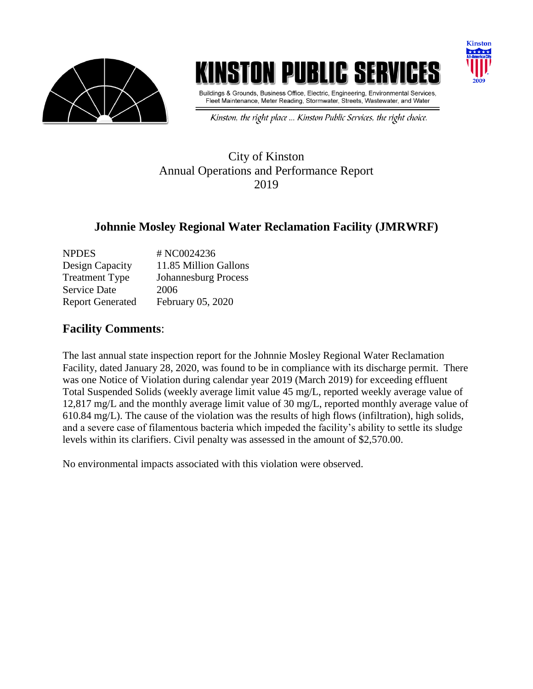

# **ISTON PUBLIC SE**



Buildings & Grounds, Business Office, Electric, Engineering, Environmental Services, Fleet Maintenance, Meter Reading, Stormwater, Streets, Wastewater, and Water

Kinston, the right place ... Kinston Public Services, the right choice.

### City of Kinston Annual Operations and Performance Report 2019

### **Johnnie Mosley Regional Water Reclamation Facility (JMRWRF)**

| <b>NPDES</b>            | # NC0024236                 |
|-------------------------|-----------------------------|
| Design Capacity         | 11.85 Million Gallons       |
| <b>Treatment Type</b>   | <b>Johannesburg Process</b> |
| <b>Service Date</b>     | 2006                        |
| <b>Report Generated</b> | February 05, 2020           |

#### **Facility Comments**:

The last annual state inspection report for the Johnnie Mosley Regional Water Reclamation Facility, dated January 28, 2020, was found to be in compliance with its discharge permit. There was one Notice of Violation during calendar year 2019 (March 2019) for exceeding effluent Total Suspended Solids (weekly average limit value 45 mg/L, reported weekly average value of 12,817 mg/L and the monthly average limit value of 30 mg/L, reported monthly average value of 610.84 mg/L). The cause of the violation was the results of high flows (infiltration), high solids, and a severe case of filamentous bacteria which impeded the facility's ability to settle its sludge levels within its clarifiers. Civil penalty was assessed in the amount of \$2,570.00.

No environmental impacts associated with this violation were observed.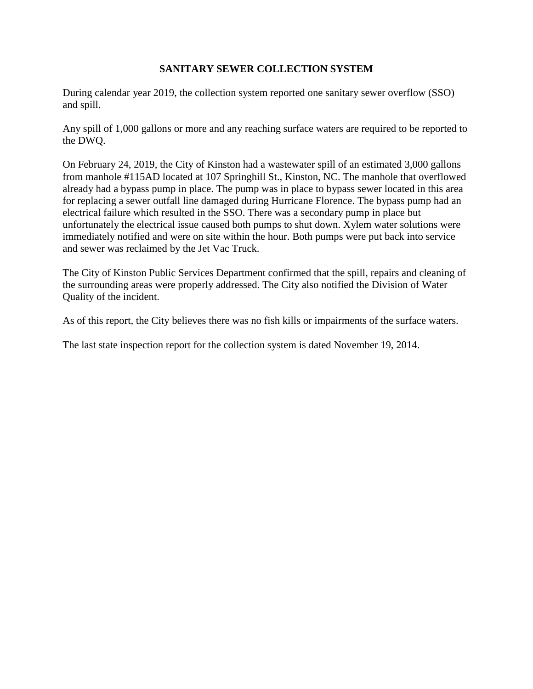#### **SANITARY SEWER COLLECTION SYSTEM**

During calendar year 2019, the collection system reported one sanitary sewer overflow (SSO) and spill.

Any spill of 1,000 gallons or more and any reaching surface waters are required to be reported to the DWQ.

On February 24, 2019, the City of Kinston had a wastewater spill of an estimated 3,000 gallons from manhole #115AD located at 107 Springhill St., Kinston, NC. The manhole that overflowed already had a bypass pump in place. The pump was in place to bypass sewer located in this area for replacing a sewer outfall line damaged during Hurricane Florence. The bypass pump had an electrical failure which resulted in the SSO. There was a secondary pump in place but unfortunately the electrical issue caused both pumps to shut down. Xylem water solutions were immediately notified and were on site within the hour. Both pumps were put back into service and sewer was reclaimed by the Jet Vac Truck.

The City of Kinston Public Services Department confirmed that the spill, repairs and cleaning of the surrounding areas were properly addressed. The City also notified the Division of Water Quality of the incident.

As of this report, the City believes there was no fish kills or impairments of the surface waters.

The last state inspection report for the collection system is dated November 19, 2014.